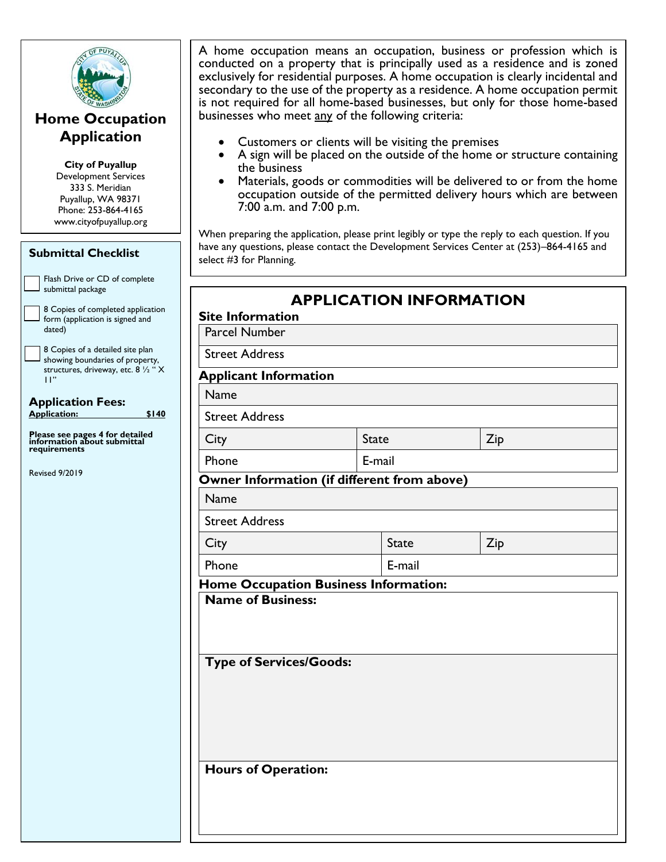

### **Home Occupation Application**

**City of Puyallup** Development Services 333 S. Meridian Puyallup, WA 98371 Phone: 253-864-4165 www.cityofpuyallup.org

| <b>Submittal Checklist</b>                                                                                           | have<br>sele     |
|----------------------------------------------------------------------------------------------------------------------|------------------|
| Flash Drive or CD of complete<br>submittal package                                                                   |                  |
| 8 Copies of completed application<br>form (application is signed and<br>dated)                                       | <b>Sit</b><br>Pa |
| 8 Copies of a detailed site plan<br>showing boundaries of property,<br>structures, driveway, etc. 8 1/2 " X<br>$H$ " | Stı<br>Ap        |
| <b>Application Fees:</b><br><b>Application:</b><br>\$140                                                             | N                |
| Please see pages 4 for detailed<br>information about submittal                                                       | Stı<br>Ci        |
| requirements                                                                                                         | Ph               |
| <b>Revised 9/2019</b>                                                                                                | O۷               |
|                                                                                                                      | N                |
|                                                                                                                      | Stı<br>Ci        |
|                                                                                                                      | Ph               |
|                                                                                                                      | Ho               |
|                                                                                                                      | N.               |
|                                                                                                                      | T)               |
|                                                                                                                      |                  |
|                                                                                                                      |                  |
|                                                                                                                      |                  |

A home occupation means an occupation, business or profession which is conducted on a property that is principally used as a residence and is zoned exclusively for residential purposes. A home occupation is clearly incidental and secondary to the use of the property as a residence. A home occupation permit is not required for all home-based businesses, but only for those home-based businesses who meet any of the following criteria:

- Customers or clients will be visiting the premises
- A sign will be placed on the outside of the home or structure containing the business
- Materials, goods or commodities will be delivered to or from the home occupation outside of the permitted delivery hours which are between 7:00 a.m. and 7:00 p.m.

When preparing the application, please print legibly or type the reply to each question. If you e any questions, please contact the Development Services Center at (253)–864-4165 and ct #3 for Planning.

**APPLICATION INFORMATION**

| <b>Parcel Number</b>                        |  |              |     |  |
|---------------------------------------------|--|--------------|-----|--|
| <b>Street Address</b>                       |  |              |     |  |
| <b>Applicant Information</b>                |  |              |     |  |
| Name                                        |  |              |     |  |
| <b>Street Address</b>                       |  |              |     |  |
| City                                        |  | <b>State</b> | Zip |  |
| Phone                                       |  | E-mail       |     |  |
| Owner Information (if different from above) |  |              |     |  |
| Name                                        |  |              |     |  |
| <b>Street Address</b>                       |  |              |     |  |
| City                                        |  | <b>State</b> | Zip |  |
| Phone                                       |  | E-mail       |     |  |
| <b>Name of Business:</b>                    |  |              |     |  |
| <b>Type of Services/Goods:</b>              |  |              |     |  |
|                                             |  |              |     |  |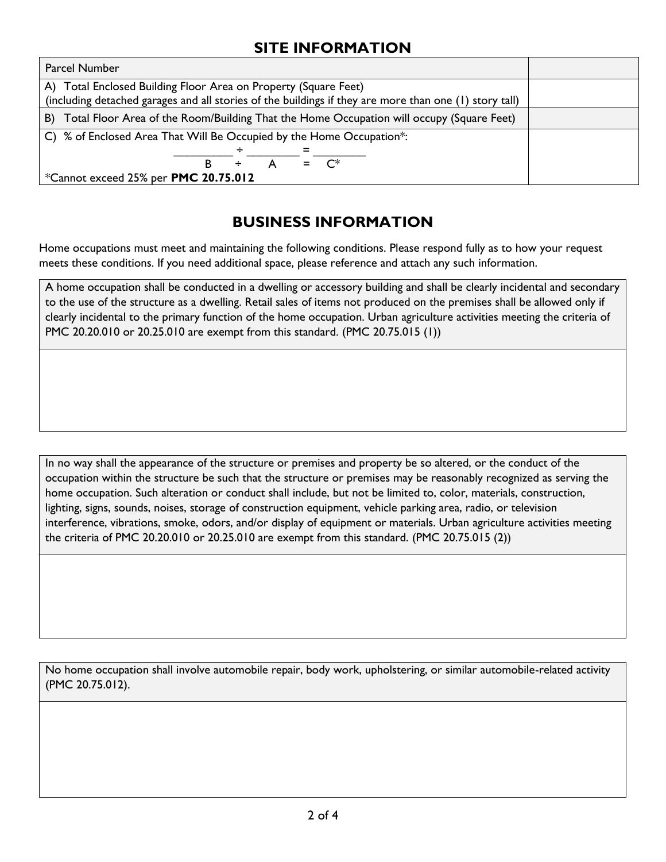#### **SITE INFORMATION**

| <b>Parcel Number</b>                                                                                                                                                      |  |
|---------------------------------------------------------------------------------------------------------------------------------------------------------------------------|--|
| A) Total Enclosed Building Floor Area on Property (Square Feet)<br>(including detached garages and all stories of the buildings if they are more than one (1) story tall) |  |
|                                                                                                                                                                           |  |
| Total Floor Area of the Room/Building That the Home Occupation will occupy (Square Feet)<br>B)                                                                            |  |
| C) % of Enclosed Area That Will Be Occupied by the Home Occupation*:                                                                                                      |  |
|                                                                                                                                                                           |  |
| $\mathsf{C}^*$                                                                                                                                                            |  |
| *Cannot exceed 25% per PMC 20.75.012                                                                                                                                      |  |

#### **BUSINESS INFORMATION**

Home occupations must meet and maintaining the following conditions. Please respond fully as to how your request meets these conditions. If you need additional space, please reference and attach any such information.

A home occupation shall be conducted in a dwelling or accessory building and shall be clearly incidental and secondary to the use of the structure as a dwelling. Retail sales of items not produced on the premises shall be allowed only if clearly incidental to the primary function of the home occupation. Urban agriculture activities meeting the criteria of PMC 20.20.010 or 20.25.010 are exempt from this standard. (PMC 20.75.015 (1))

In no way shall the appearance of the structure or premises and property be so altered, or the conduct of the occupation within the structure be such that the structure or premises may be reasonably recognized as serving the home occupation. Such alteration or conduct shall include, but not be limited to, color, materials, construction, lighting, signs, sounds, noises, storage of construction equipment, vehicle parking area, radio, or television interference, vibrations, smoke, odors, and/or display of equipment or materials. Urban agriculture activities meeting the criteria of PMC 20.20.010 or 20.25.010 are exempt from this standard. (PMC 20.75.015 (2))

No home occupation shall involve automobile repair, body work, upholstering, or similar automobile-related activity (PMC 20.75.012).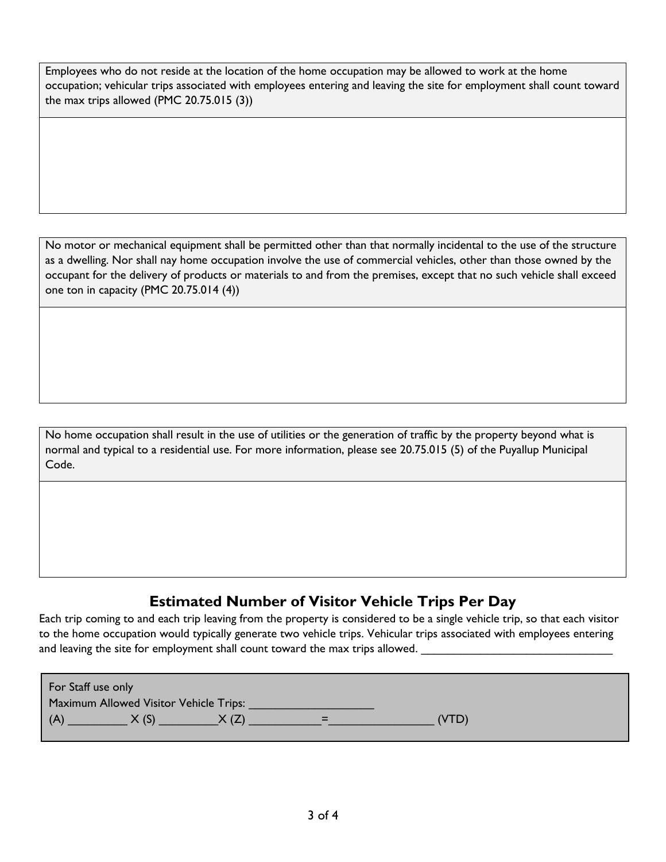Employees who do not reside at the location of the home occupation may be allowed to work at the home occupation; vehicular trips associated with employees entering and leaving the site for employment shall count toward the max trips allowed (PMC 20.75.015 (3))

No motor or mechanical equipment shall be permitted other than that normally incidental to the use of the structure as a dwelling. Nor shall nay home occupation involve the use of commercial vehicles, other than those owned by the occupant for the delivery of products or materials to and from the premises, except that no such vehicle shall exceed one ton in capacity (PMC 20.75.014 (4))

No home occupation shall result in the use of utilities or the generation of traffic by the property beyond what is normal and typical to a residential use. For more information, please see 20.75.015 (5) of the Puyallup Municipal Code.

### **Estimated Number of Visitor Vehicle Trips Per Day**

Each trip coming to and each trip leaving from the property is considered to be a single vehicle trip, so that each visitor to the home occupation would typically generate two vehicle trips. Vehicular trips associated with employees entering and leaving the site for employment shall count toward the max trips allowed.

| For Staff use only |                                        |     |       |  |
|--------------------|----------------------------------------|-----|-------|--|
|                    | Maximum Allowed Visitor Vehicle Trips: |     |       |  |
| l (A               | X(S)                                   | $=$ | (VTD) |  |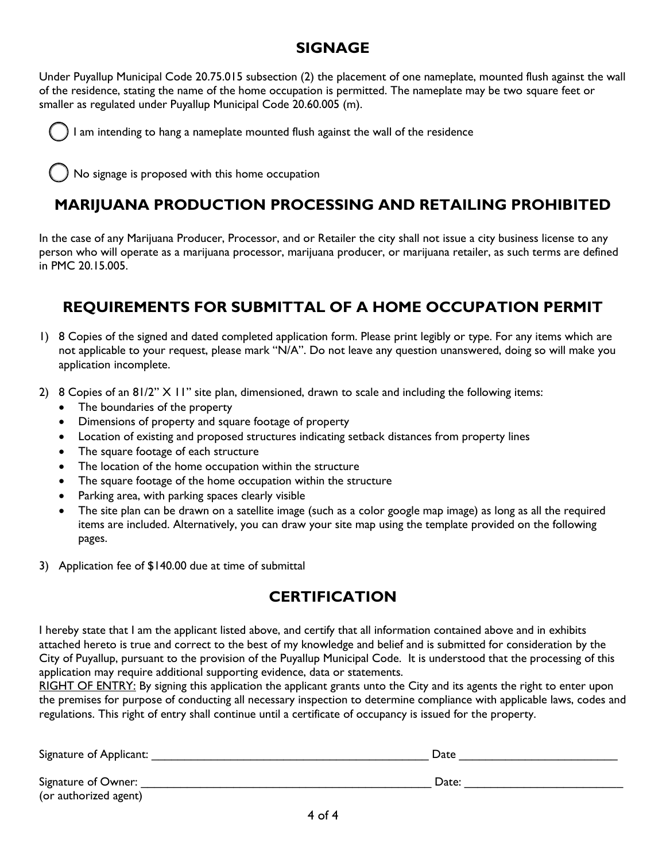#### **SIGNAGE**

Under Puyallup Municipal Code 20.75.015 subsection (2) the placement of one nameplate, mounted flush against the wall of the residence, stating the name of the home occupation is permitted. The nameplate may be two square feet or smaller as regulated under Puyallup Municipal Code 20.60.005 (m).



I am intending to hang a nameplate mounted flush against the wall of the residence

No signage is proposed with this home occupation

## **MARIJUANA PRODUCTION PROCESSING AND RETAILING PROHIBITED**

In the case of any Marijuana Producer, Processor, and or Retailer the city shall not issue a city business license to any person who will operate as a marijuana processor, marijuana producer, or marijuana retailer, as such terms are defined in PMC 20.15.005.

## **REQUIREMENTS FOR SUBMITTAL OF A HOME OCCUPATION PERMIT**

- 1) 8 Copies of the signed and dated completed application form. Please print legibly or type. For any items which are not applicable to your request, please mark "N/A". Do not leave any question unanswered, doing so will make you application incomplete.
- 2) 8 Copies of an 81/2" X 11" site plan, dimensioned, drawn to scale and including the following items:
	- The boundaries of the property
	- Dimensions of property and square footage of property
	- Location of existing and proposed structures indicating setback distances from property lines
	- The square footage of each structure
	- The location of the home occupation within the structure
	- The square footage of the home occupation within the structure
	- Parking area, with parking spaces clearly visible
	- The site plan can be drawn on a satellite image (such as a color google map image) as long as all the required items are included. Alternatively, you can draw your site map using the template provided on the following pages.
- 3) Application fee of \$140.00 due at time of submittal

# **CERTIFICATION**

I hereby state that I am the applicant listed above, and certify that all information contained above and in exhibits attached hereto is true and correct to the best of my knowledge and belief and is submitted for consideration by the City of Puyallup, pursuant to the provision of the Puyallup Municipal Code. It is understood that the processing of this application may require additional supporting evidence, data or statements.

RIGHT OF ENTRY: By signing this application the applicant grants unto the City and its agents the right to enter upon the premises for purpose of conducting all necessary inspection to determine compliance with applicable laws, codes and regulations. This right of entry shall continue until a certificate of occupancy is issued for the property.

| Signature of Applicant: | Date  |
|-------------------------|-------|
| Signature of Owner:     | Date: |
| (or authorized agent)   |       |